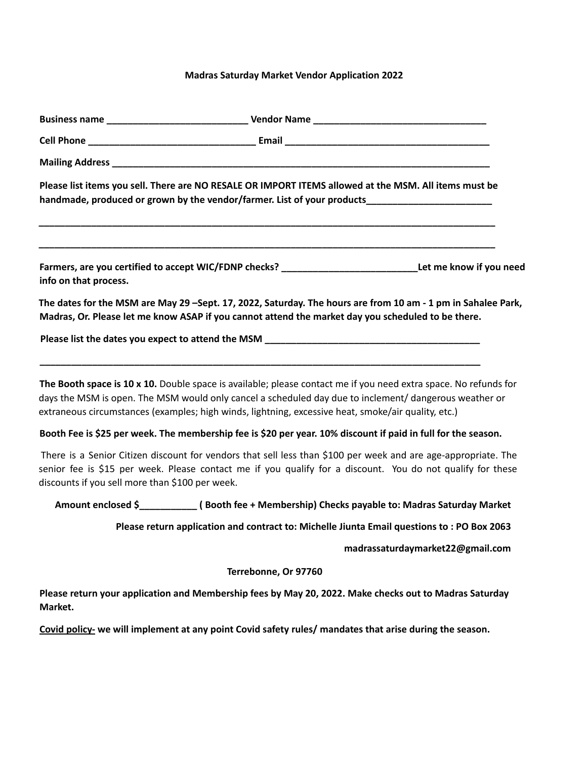## **Madras Saturday Market Vendor Application 2022**

| Please list items you sell. There are NO RESALE OR IMPORT ITEMS allowed at the MSM. All items must be<br>handmade, produced or grown by the vendor/farmer. List of your products____________________________                                                                                                                      |                                                                                             |                                  |
|-----------------------------------------------------------------------------------------------------------------------------------------------------------------------------------------------------------------------------------------------------------------------------------------------------------------------------------|---------------------------------------------------------------------------------------------|----------------------------------|
| Farmers, are you certified to accept WIC/FDNP checks? _______________________________Let me know if you need<br>info on that process.                                                                                                                                                                                             |                                                                                             |                                  |
| The dates for the MSM are May 29 -Sept. 17, 2022, Saturday. The hours are from 10 am - 1 pm in Sahalee Park,<br>Madras, Or. Please let me know ASAP if you cannot attend the market day you scheduled to be there.                                                                                                                |                                                                                             |                                  |
|                                                                                                                                                                                                                                                                                                                                   |                                                                                             |                                  |
| The Booth space is 10 x 10. Double space is available; please contact me if you need extra space. No refunds for<br>days the MSM is open. The MSM would only cancel a scheduled day due to inclement/ dangerous weather or<br>extraneous circumstances (examples; high winds, lightning, excessive heat, smoke/air quality, etc.) |                                                                                             |                                  |
| Booth Fee is \$25 per week. The membership fee is \$20 per year. 10% discount if paid in full for the season.                                                                                                                                                                                                                     |                                                                                             |                                  |
| There is a Senior Citizen discount for vendors that sell less than \$100 per week and are age-appropriate. The<br>senior fee is \$15 per week. Please contact me if you qualify for a discount. You do not qualify for these<br>discounts if you sell more than \$100 per week.                                                   |                                                                                             |                                  |
| Amount enclosed \$______________(Booth fee + Membership) Checks payable to: Madras Saturday Market                                                                                                                                                                                                                                |                                                                                             |                                  |
|                                                                                                                                                                                                                                                                                                                                   | Please return application and contract to: Michelle Jiunta Email questions to : PO Box 2063 |                                  |
|                                                                                                                                                                                                                                                                                                                                   |                                                                                             | madrassaturdaymarket22@gmail.com |
|                                                                                                                                                                                                                                                                                                                                   | Terrebonne, Or 97760                                                                        |                                  |
| Please return your application and Membership fees by May 20, 2022. Make checks out to Madras Saturday<br>Market.                                                                                                                                                                                                                 |                                                                                             |                                  |
| Covid policy- we will implement at any point Covid safety rules/ mandates that arise during the season.                                                                                                                                                                                                                           |                                                                                             |                                  |